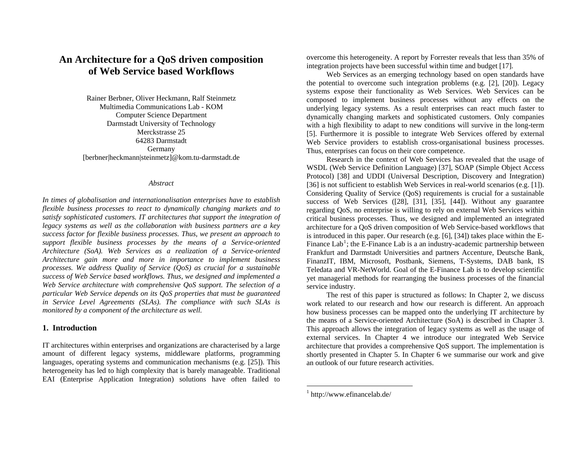# **An Architecture for a QoS driven composition of Web Service based Workflows**

Rainer Berbner, Oliver Heckmann, Ralf Steinmetz Multimedia Communications Lab - KOM Computer Science Department Darmstadt University of Technology Merckstrasse 25 64283 Darmstadt Germany [berbner|heckmann|steinmetz]@kom.tu-darmstadt.de

#### *Abstract*

*In times of globalisation and internationalisation enterprises have to establish flexible business processes to react to dynamically changing markets and to satisfy sophisticated customers. IT architectures that support the integration of legacy systems as well as the collaboration with business partners are a key success factor for flexible business processes. Thus, we present an approach to support flexible business processes by the means of a Service-oriented Architecture (SoA). Web Services as a realization of a Service-oriented Architecture gain more and more in importance to implement business processes. We address Quality of Service (QoS) as crucial for a sustainable success of Web Service based workflows. Thus, we designed and implemented a Web Service architecture with comprehensive QoS support. The selection of a particular Web Service depends on its QoS properties that must be guaranteed*  in Service Level Agreements (SLAs). The compliance with such SLAs is *monitored by a component of the architecture as well.* 

#### **1. Introduction**

<span id="page-0-0"></span>IT architectures within enterprises and organizations are characterised by a large amount of different legacy systems, middleware platforms, programming languages, operating systems and communication mechanisms (e.g. [\[25\]](#page-8-0)). This heterogeneity has led to high complexity that is barely manageable. Traditional EAI (Enterprise Application Integration) solutions have often failed to

overcome this heterogeneity. A report by Forrester reveals that less than 35% of integration projects have been successful within time and budget [\[17\]](#page-7-0).

Web Services as an emerging technology based on open standards have the potential to overcome such integration problems (e.g. [\[2\]](#page-7-1), [\[20\]](#page-8-1)). Legacy systems expose their functionality as Web Services. Web Services can be composed to implement business processes without any effects on the underlying legacy systems. As a result enterprises can react much faster to dynamically changing markets and sophisticated customers. Only companies with a high flexibility to adapt to new conditions will survive in the long-term [\[5\]](#page-7-2). Furthermore it is possible to integrate Web Services offered by external Web Service providers to establish cross-organisational business processes. Thus, enterprises can focus on their core competence.

Research in the context of Web Services has revealed that the usage of WSDL (Web Service Definition Language) [\[37\]](#page-8-2), SOAP (Simple Object Access Protocol) [\[38\]](#page-8-3) and UDDI (Universal Description, Discovery and Integration) [\[36\]](#page-8-4) is not sufficient to establish Web Services in real-world scenarios (e.g. [\[1\]](#page-7-3)). Considering Quality of Service (QoS) requirements is crucial for a sustainable success of Web Services ([\[28\]](#page-8-5), [\[31\]](#page-8-6), [\[35\]](#page-8-7), [\[44\]\)](#page-9-0). Without any guarantee regarding QoS, no enterprise is willing to rely on external Web Services within critical business processes. Thus, we designed and implemented an integrated architecture for a QoS driven composition of Web Service-based workflows that is introduced in this paper. Our research (e.g. [\[6\]](#page-7-4), [\[34\]](#page-8-8)) takes place within the E-Finance Lab<sup>[1](#page-0-0)</sup>; the E-Finance Lab is a an industry-academic partnership between Frankfurt and Darmstadt Universities and partners Accenture, Deutsche Bank, FinanzIT, IBM, Microsoft, Postbank, Siemens, T-Systems, DAB bank, IS Teledata and VR-NetWorld. Goal of the E-Finance Lab is to develop scientific yet managerial methods for rearranging the business processes of the financial service industry.

The rest of this paper is structured as follows: In Chapter 2, we discuss work related to our research and how our research is different. An approach how business processes can be mapped onto the underlying IT architecture by the means of a Service-oriented Architecture (SoA) is described in Chapter 3. This approach allows the integration of legacy systems as well as the usage of external services. In Chapter 4 we introduce our integrated Web Service architecture that provides a comprehensive QoS support. The implementation is shortly presented in Chapter 5. In Chapter 6 we summarise our work and give an outlook of our future research activities.

<sup>1</sup> http://www.efinancelab.de/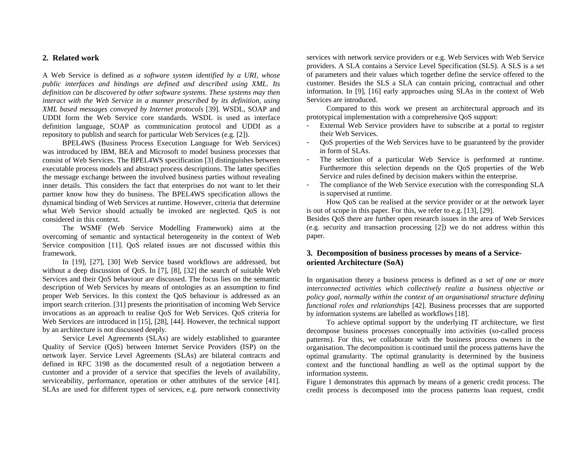## **2. Related work**

A Web Service is defined as *a software system identified by a URI, whose public interfaces and bindings are defined and described using XML. Its definition can be discovered by other software systems. These systems may then interact with the Web Service in a manner prescribed by its definition, using XML based messages conveyed by Internet protocols* [\[39\]](#page-8-9)*.* WSDL, SOAP and UDDI form the Web Service core standards. WSDL is used as interface definition language, SOAP as communication protocol and UDDI as a repository to publish and search for particular Web Services (e.g. [\[2\]\)](#page-7-1).

BPEL4WS (Business Process Execution Language for Web Services) was introduced by IBM, BEA and Microsoft to model business processes that consist of Web Services. The BPEL4WS specification [\[3\]](#page-7-5) distinguishes between executable process models and abstract process descriptions. The latter specifies the message exchange between the involved business parties without revealing inner details. This considers the fact that enterprises do not want to let their partner know how they do business. The BPEL4WS specification allows the dynamical binding of Web Services at runtime. However, criteria that determine what Web Service should actually be invoked are neglected. QoS is not considered in this context.

The WSMF (Web Service Modelling Framework) aims at the overcoming of semantic and syntactical heterogeneity in the context of Web Service composition [\[11\]](#page-7-6). QoS related issues are not discussed within this framework.

In [\[19\]](#page-8-10), [\[27\]](#page-8-9), [\[30\]](#page-8-11) Web Service based workflows are addressed, but without a deep discussion of QoS. In [\[7\]](#page-7-7), [\[8\]](#page-7-8), [\[32\]](#page-8-12) the search of suitable Web Services and their QoS behaviour are discussed. The focus lies on the semantic description of Web Services by means of ontologies as an assumption to find proper Web Services. In this context the QoS behaviour is addressed as an import search criterion. [\[31\]](#page-8-6) presents the prioritisation of incoming Web Service invocations as an approach to realise QoS for Web Services. QoS criteria for Web Services are introduced in [\[15\]](#page-7-9), [\[28\]](#page-8-5), [\[44\]](#page-9-0). However, the technical support by an architecture is not discussed deeply.

Service Level Agreements (SLAs) are widely established to guarantee Quality of Service (QoS) between Internet Service Providers (ISP) on the network layer. Service Level Agreements (SLAs) are bilateral contracts and defined in RFC 3198 as the documented result of a negotiation between a customer and a provider of a service that specifies the levels of availability, serviceability, performance, operation or other attributes of the service [\[41\]](#page-8-13). SLAs are used for different types of services, e.g. pure network connectivity

services with network service providers or e.g. Web Services with Web Service providers. A SLA contains a Service Level Specification (SLS). A SLS is a set of parameters and their values which together define the service offered to the customer. Besides the SLS a SLA can contain pricing, contractual and other information. In [\[9\],](#page-7-10) [\[16\]](#page-7-11) early approaches using SLAs in the context of Web Services are introduced.

Compared to this work we present an architectural approach and its prototypical implementation with a comprehensive QoS support:

- External Web Service providers have to subscribe at a portal to register their Web Services.
- QoS properties of the Web Services have to be guaranteed by the provider in form of SLAs.
- The selection of a particular Web Service is performed at runtime. Furthermore this selection depends on the QoS properties of the Web Service and rules defined by decision makers within the enterprise.
- The compliance of the Web Service execution with the corresponding SLA is supervised at runtime.

How QoS can be realised at the service provider or at the network layer is out of scope in this paper. For this, we refer to e.g. [\[13\]](#page-7-12), [\[29\]](#page-8-14).

Besides QoS there are further open research issues in the area of Web Services (e.g. security and transaction processing [\[2\]](#page-7-1)) we do not address within this paper.

# **3. Decomposition of business processes by means of a Serviceoriented Architecture (SoA)**

In organisation theory a business process is defined as *a set of one or more interconnected activities which collectively realize a business objective or policy goal, normally within the context of an organisational structure defining functional roles and relationships* [\[42\]](#page-9-1). Business processes that are supported by information systems are labelled as workflows [\[18\]](#page-8-11).

To achieve optimal support by the underlying IT architecture, we first decompose business processes conceptually into activities (so-called process patterns). For this, we collaborate with the business process owners in the organisation. The decomposition is continued until the process patterns have the optimal granularity. The optimal granularity is determined by the business context and the functional handling as well as the optimal support by the information systems.

Figure 1 demonstrates this approach by means of a generic credit process. The credit process is decomposed into the process patterns loan request, credit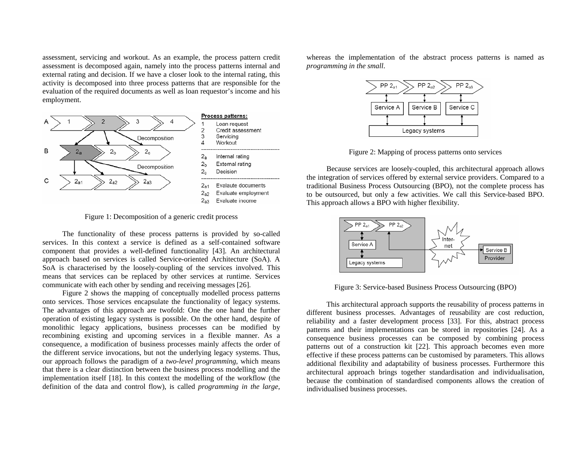assessment, servicing and workout. As an example, the process pattern credit assessment is decomposed again, namely into the process patterns internal and external rating and decision. If we have a closer look to the internal rating, this activity is decomposed into three process patterns that are responsible for the evaluation of the required documents as well as loan requestor's income and his employment.



Figure 1: Decomposition of a generic credit process

The functionality of these process patterns is provided by so-called services. In this context a service is defined as a self-contained software component that provides a well-defined functionality [\[43\]](#page-9-2). An architectural approach based on services is called Service-oriented Architecture (SoA). A SoA is characterised by the loosely-coupling of the services involved. This means that services can be replaced by other services at runtime. Services communicate with each other by sending and receiving messages [\[26\]](#page-8-15).

Figure 2 shows the mapping of conceptually modelled process patterns onto services. Those services encapsulate the functionality of legacy systems. The advantages of this approach are twofold: One the one hand the further operation of existing legacy systems is possible. On the other hand, despite of monolithic legacy applications, business processes can be modified by recombining existing and upcoming services in a flexible manner. As a consequence, a modification of business processes mainly affects the order of the different service invocations, but not the underlying legacy systems. Thus, our approach follows the paradigm of a *two-level programming*, which means that there is a clear distinction between the business process modelling and the implementation itself [\[18\]](#page-8-11). In this context the modelling of the workflow (the definition of the data and control flow), is called *programming in the large*,

whereas the implementation of the abstract process patterns is named as *programming in the small*.



Figure 2: Mapping of process patterns onto services

Because services are loosely-coupled, this architectural approach allows the integration of services offered by external service providers. Compared to a traditional Business Process Outsourcing (BPO), not the complete process has to be outsourced, but only a few activities. We call this Service-based BPO. This approach allows a BPO with higher flexibility.



Figure 3: Service-based Business Process Outsourcing (BPO)

This architectural approach supports the reusability of process patterns in different business processes. Advantages of reusability are cost reduction, reliability and a faster development process [\[33\]](#page-8-16). For this, abstract process patterns and their implementations can be stored in repositories [\[24\]](#page-8-17). As a consequence business processes can be composed by combining process patterns out of a construction kit [\[22\]](#page-8-18). This approach becomes even more effective if these process patterns can be customised by parameters. This allows additional flexibility and adaptability of business processes. Furthermore this architectural approach brings together standardisation and individualisation, because the combination of standardised components allows the creation of individualised business processes.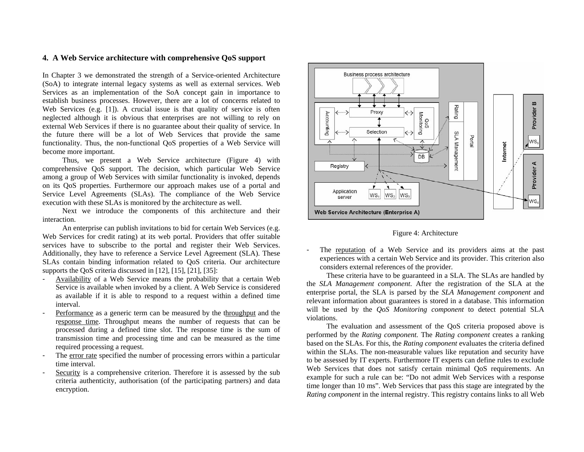## **4. A Web Service architecture with comprehensive QoS support**

In Chapter 3 we demonstrated the strength of a Service-oriented Architecture (SoA) to integrate internal legacy systems as well as external services. Web Services as an implementation of the SoA concept gain in importance to establish business processes. However, there are a lot of concerns related to Web Services (e.g. [\[1\]](#page-7-3)). A crucial issue is that quality of service is often neglected although it is obvious that enterprises are not willing to rely on external Web Services if there is no guarantee about their quality of service. In the future there will be a lot of Web Services that provide the same functionality. Thus, the non-functional QoS properties of a Web Service will become more important.

Thus, we present a Web Service architecture (Figure 4) with comprehensive QoS support. The decision, which particular Web Service among a group of Web Services with similar functionality is invoked, depends on its QoS properties. Furthermore our approach makes use of a portal and Service Level Agreements (SLAs). The compliance of the Web Service execution with these SLAs is monitored by the architecture as well.

Next we introduce the components of this architecture and their interaction.

An enterprise can publish invitations to bid for certain Web Services (e.g. Web Services for credit rating) at its web portal. Providers that offer suitable services have to subscribe to the portal and register their Web Services. Additionally, they have to reference a Service Level Agreement (SLA). These SLAs contain binding information related to QoS criteria. Our architecture supports the QoS criteria discussed in [\[12\]](#page-7-13), [\[15\]](#page-7-9), [\[21\]](#page-8-19), [\[35\]](#page-8-7):

- Availability of a Web Service means the probability that a certain Web Service is available when invoked by a client. A Web Service is considered as available if it is able to respond to a request within a defined time interval.
- Performance as a generic term can be measured by the throughput and the response time. Throughput means the number of requests that can be processed during a defined time slot. The response time is the sum of transmission time and processing time and can be measured as the time required processing a request.
- The error rate specified the number of processing errors within a particular time interval.
- Security is a comprehensive criterion. Therefore it is assessed by the subcriteria authenticity, authorisation (of the participating partners) and data encryption.



Figure 4: Architecture

- The reputation of a Web Service and its providers aims at the past experiences with a certain Web Service and its provider. This criterion also considers external references of the provider.

These criteria have to be guaranteed in a SLA. The SLAs are handled by the *SLA Management component*. After the registration of the SLA at the enterprise portal, the SLA is parsed by the *SLA Management component* and relevant information about guarantees is stored in a database. This information will be used by the *QoS Monitoring component* to detect potential SLA violations.

The evaluation and assessment of the QoS criteria proposed above is performed by the *Rating component.* The *Rating component* creates a ranking based on the SLAs. For this, the *Rating component* evaluates the criteria defined within the SLAs. The non-measurable values like reputation and security have to be assessed by IT experts. Furthermore IT experts can define rules to exclude Web Services that does not satisfy certain minimal QoS requirements. An example for such a rule can be: "Do not admit Web Services with a response time longer than 10 ms". Web Services that pass this stage are integrated by the *Rating component* in the internal registry. This registry contains links to all Web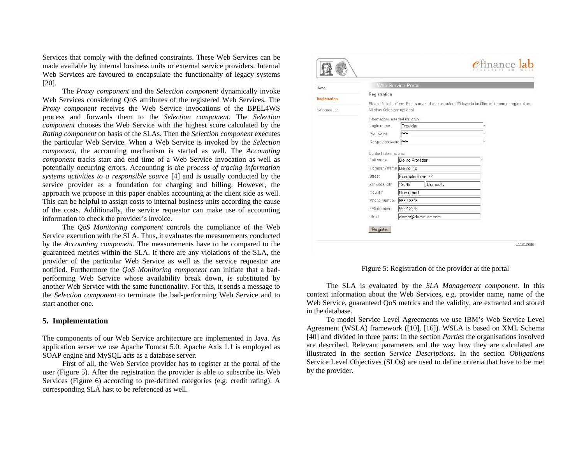Services that comply with the defined constraints. These Web Services can be made available by internal business units or external service providers. Internal Web Services are favoured to encapsulate the functionality of legacy systems [\[20\]](#page-8-1).

The *Proxy component* and the *Selection component* dynamically invoke Web Services considering QoS attributes of the registered Web Services. The *Proxy component* receives the Web Service invocations of the BPEL4WS process and forwards them to the *Selection component*. The *Selection componen<sup>t</sup>* chooses the Web Service with the highest score calculated by the *Rating component* on basis of the SLAs. Then the *Selection component* executes the particular Web Service. When a Web Service is invoked by the *Selection component*, the accounting mechanism is started as well. The *Accounting component* tracks start and end time of a Web Service invocation as well as potentially occurring errors. Accounting is *the process of tracing information systems activities to a responsible source* [\[4\]](#page-7-14) and is usually conducted by the service provider as a foundation for charging and billing. However, the approach we propose in this paper enables accounting at the client side as well. This can be helpful to assign costs to internal business units according the cause of the costs. Additionally, the service requestor can make use of accounting information to check the provider's invoice.

The *QoS Monitoring component* controls the compliance of the Web Service execution with the SLA. Thus, it evaluates the measurements conducted by the *Accounting component*. The measurements have to be compared to the guaranteed metrics within the SLA. If there are any violations of the SLA, the provider of the particular Web Service as well as the service requestor are notified. Furthermore the *QoS Monitoring component* can initiate that a badperforming Web Service whose availability break down, is substituted by another Web Service with the same functionality. For this, it sends a message to the *Selection component* to terminate the bad-performing Web Service and to start another one.

#### **5. Implementation**

The components of our Web Service architecture are implemented in Java. As application server we use Apache Tomcat 5.0. Apache Axis 1.1 is employed as SOAP engine and MySQL acts as a database server.

First of all, the Web Service provider has to register at the portal of the user (Figure 5). After the registration the provider is able to subscribe its Web Services (Figure 6) according to pre-defined categories (e.g. credit rating). A corresponding SLA hast to be referenced as well.

| Home                |                                | <b>Web Service Portal</b> |                   |                                                                                                          |  |  |  |  |
|---------------------|--------------------------------|---------------------------|-------------------|----------------------------------------------------------------------------------------------------------|--|--|--|--|
| <b>Registration</b> | Registration                   |                           |                   |                                                                                                          |  |  |  |  |
|                     |                                |                           |                   | Please fill in the form. Fields marked with an asterix (*) have to be filled in for proper registration. |  |  |  |  |
| E-Finance Lab       | All other fields are optional. |                           |                   |                                                                                                          |  |  |  |  |
|                     | Informations needed for login: |                           |                   |                                                                                                          |  |  |  |  |
|                     | Login name                     | Provider                  |                   |                                                                                                          |  |  |  |  |
|                     | Password                       | <b>Askskak</b>            |                   |                                                                                                          |  |  |  |  |
|                     | Retype password                | <b>Robbis</b>             |                   |                                                                                                          |  |  |  |  |
|                     | Contact informations:          |                           |                   |                                                                                                          |  |  |  |  |
|                     | Full name                      | Demo Provider             |                   |                                                                                                          |  |  |  |  |
|                     | Company name Demo Inc.         |                           |                   |                                                                                                          |  |  |  |  |
|                     | Street                         | Example Street 42         |                   |                                                                                                          |  |  |  |  |
|                     | ZIP code, city                 | 12345                     | Democity          |                                                                                                          |  |  |  |  |
|                     | Country                        | Demoland                  |                   |                                                                                                          |  |  |  |  |
|                     | Phone number                   | 555-12345                 |                   |                                                                                                          |  |  |  |  |
|                     | FAX number                     | 555-12346                 |                   |                                                                                                          |  |  |  |  |
|                     | eMail                          |                           | demo@demo-inc.com |                                                                                                          |  |  |  |  |
|                     |                                |                           |                   |                                                                                                          |  |  |  |  |
|                     | Register                       |                           |                   |                                                                                                          |  |  |  |  |

Figure 5: Registration of the provider at the portal

The SLA is evaluated by the *SLA Management component*. In this context information about the Web Services, e.g. provider name, name of the Web Service, guaranteed QoS metrics and the validity, are extracted and stored in the database.

To model Service Level Agreements we use IBM's Web Service Level Agreement (WSLA) framework ([\[10\]](#page-7-15), [\[16\]](#page-7-11)). WSLA is based on XML Schema [\[40\]](#page-8-20) and divided in three parts: In the section *Parties* the organisations involved are described. Relevant parameters and the way how they are calculated are illustrated in the section *Service Descriptions*. In the section *Obligations* Service Level Objectives (SLOs) are used to define criteria that have to be met by the provider.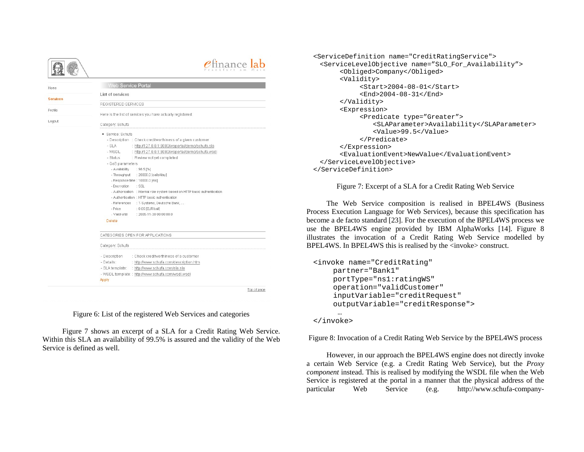Home

Services

Profile

Logout

 $e$ finance  $ab$ Web Service Porta List of services REGISTERED SERVICES Here is the list of services you have actually registered: Category: Schufa · Service: Schufa - Description : Check creditworthiness of a given customer  $-$  SLA : http://127.0.0.1:8080/wsportal/demo/schufa.sla - WSDL : http://127.0.0.1:8080/wsportal/demo/schufa.wsdl - Status : Review not yet completed - OnS narameters - Availability : 98.51%1 - Throughput : 20000.0 [calls/day] - Response time : 10000.0 (ms) - Enervation SSL - Authorisation : Internal role system based on HTTP basic authentication - Authentication : HTTP basic authentication - References : T-Systems, Deutsche Bank. - Price : 0.05 (FLIR/call) . Valid until  $: 2005 - 11 - 3000000000$ Delete CATEGORIES OPEN FOR APPLICATIONS Category: Schufa - Description : Check creditworthiness of a customer - Details: http://www.schufa.com/description.htm - SLA template: : http://www.schufa.com/sla.sla - WSDL template: : http://www.schufa.com/wsdl.wsdl Apply Top of page

Figure 6: List of the registered Web Services and categories

Figure 7 shows an excerpt of a SLA for a Credit Rating Web Service. Within this SLA an availability of 99.5% is assured and the validity of the Web Service is defined as well.

```
<ServiceDefinition name="CreditRatingService"> 
 <ServiceLevelObjective name="SLO_For_Availability"> 
       <Obliged>Company</Obliged> 
       <Validity> 
            <Start>2004-08-01</Start> 
            <End>2004-08-31</End> 
       </Validity> 
       <Expression> 
            <Predicate type="Greater"> 
                <SLAParameter>Availability</SLAParameter> 
                <Value>99.5</Value> 
            </Predicate> 
       </Expression> 
       <EvaluationEvent>NewValue</EvaluationEvent> 
 </ServiceLevelObjective> 
</ServiceDefinition>
```
Figure 7: Excerpt of a SLA for a Credit Rating Web Service

The Web Service composition is realised in BPEL4WS (Business Process Execution Language for Web Services), because this specification has become a de facto standard [\[23\]](#page-8-21). For the execution of the BPEL4WS process we use the BPEL4WS engine provided by IBM AlphaWorks [\[14\]](#page-7-16). Figure 8 illustrates the invocation of a Credit Rating Web Service modelled by BPEL4WS. In BPEL4WS this is realised by the <invoke> construct.

```
<invoke name="CreditRating" 
    partner="Bank1" 
    portType="ns1:ratingWS" 
    operation="validCustomer" 
    inputVariable="creditRequest" 
    outputVariable="creditResponse"> 
     ……
```
</invoke>

Figure 8: Invocation of a Credit Rating Web Service by the BPEL4WS process

However, in our approach the BPEL4WS engine does not directly invoke a certain Web Service (e.g. a Credit Rating Web Service), but the *Proxy componen<sup>t</sup>*instead. This is realised by modifying the WSDL file when the Web Service is registered at the portal in a manner that the physical address of the particular Web Service (e.g. http://www.schufa-company-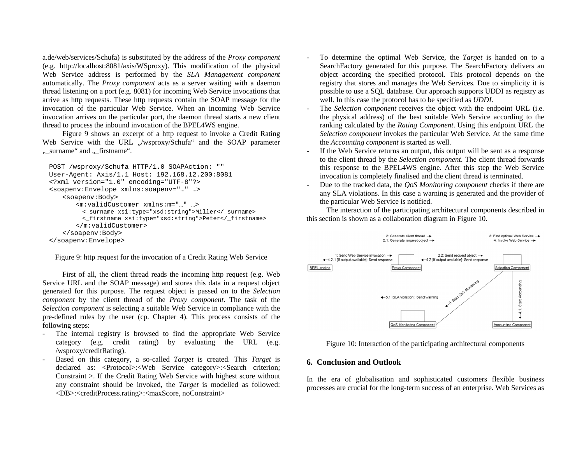a.de/web/services/Schufa) is substituted by the address of the *Proxy component* (e.g. http://localhost:8081/axis/WSproxy). This modification of the physical Web Service address is performed by the *SLA Management component*  automatically. The *Proxy component* acts as a server waiting with a daemon thread listening on a port (e.g. 8081) for incoming Web Service invocations that arrive as http requests. These http requests contain the SOAP message for the invocation of the particular Web Service. When an incoming Web Service invocation arrives on the particular port, the daemon thread starts a new client thread to process the inbound invocation of the BPEL4WS engine.

Figure 9 shows an excerpt of a http request to invoke a Credit Rating Web Service with the URL "/wsproxy/Schufa" and the SOAP parameter ", surname" and ", firstname".

```
POST /wsproxy/Schufa HTTP/1.0 SOAPAction: "" 
User-Agent: Axis/1.1 Host: 192.168.12.200:8081 
<?xml version="1.0" encoding="UTF-8"?> 
<soapenv:Envelope xmlns:soapenv="…" …> 
   <soapenv:Body> 
       <m:validCustomer xmlns:m="…" …> <_surname xsi:type="xsd:string">Miller</_surname> 
        <_firstname xsi:type="xsd:string">Peter</_firstname> 
       </m:validCustomer> 
   </soapenv:Body> 
</soapenv:Envelope>
```
Figure 9: http request for the invocation of a Credit Rating Web Service

First of all, the client thread reads the incoming http request (e.g. Web Service URL and the SOAP message) and stores this data in a request object generated for this purpose. The request object is passed on to the *Selection componen<sup>t</sup>* by the client thread of the *Proxy component*. The task of the *Selection component* is selecting a suitable Web Service in compliance with the pre-defined rules by the user (cp. Chapter 4). This process consists of the following steps:

- - The internal registry is browsed to find the appropriate Web Service category (e.g. credit rating) by evaluating the URL (e.g. /wsproxy/creditRating).
- Based on this category, a so-called *Target* is created. This *Target* is declared as: <Protocol>:<Web Service category>:<Search criterion; Constraint >. If the Credit Rating Web Service with highest score without any constraint should be invoked, the *Target* is modelled as followed: <DB>:<creditProcess.rating>:<maxScore, noConstraint>
- To determine the optimal Web Service, the *Target* is handed on to a SearchFactory generated for this purpose. The SearchFactory delivers an object according the specified protocol. This protocol depends on the registry that stores and manages the Web Services. Due to simplicity it is possible to use a SQL database. Our approach supports UDDI as registry as well. In this case the protocol has to be specified as *UDDI*.
- The *Selection component* receives the object with the endpoint URL (i.e. the physical address) of the best suitable Web Service according to the ranking calculated by the *Rating Component*. Using this endpoint URL the *Selection component* invokes the particular Web Service. At the same time the *Accounting component* is started as well.
- If the Web Service returns an output, this output will be sent as a response to the client thread by the *Selection component*. The client thread forwards this response to the BPEL4WS engine. After this step the Web Service invocation is completely finalised and the client thread is terminated.
- Due to the tracked data, the *QoS Monitoring component* checks if there are any SLA violations. In this case a warning is generated and the provider of the particular Web Service is notified.

The interaction of the participating architectural components described in this section is shown as a collaboration diagram in Figure 10.



Figure 10: Interaction of the participating architectural components

#### **6. Conclusion and Outlook**

In the era of globalisation and sophisticated customers flexible business processes are crucial for the long-term success of an enterprise. Web Services as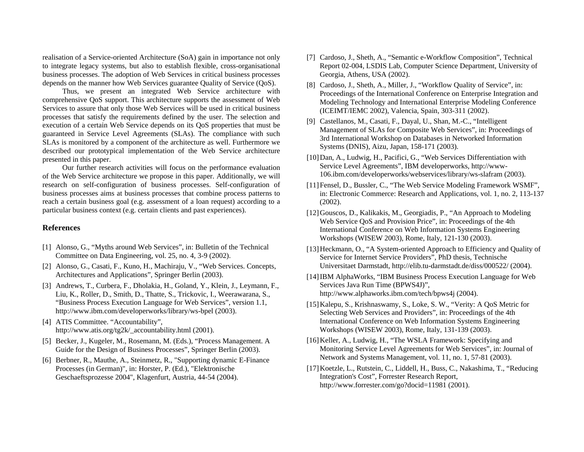<span id="page-7-7"></span>realisation of a Service-oriented Architecture (SoA) gain in importance not only to integrate legacy systems, but also to establish flexible, cross-organisational business processes. The adoption of Web Services in critical business processes depends on the manner how Web Services guarantee Quality of Service (QoS).

<span id="page-7-10"></span><span id="page-7-8"></span>Thus, we present an integrated Web Service architecture with comprehensive QoS support. This architecture supports the assessment of Web Services to assure that only those Web Services will be used in critical business processes that satisfy the requirements defined by the user. The selection and execution of a certain Web Service depends on its QoS properties that must be guaranteed in Service Level Agreements (SLAs). The compliance with such SLAs is monitored by a component of the architecture as well. Furthermore we described our prototypical implementation of the Web Service architecture presented in this paper.

<span id="page-7-15"></span><span id="page-7-6"></span>Our further research activities will focus on the performance evaluation of the Web Service architecture we propose in this paper. Additionally, we will research on self-configuration of business processes. Self-configuration of business processes aims at business processes that combine process patterns to reach a certain business goal (e.g. assessment of a loan request) according to a particular business context (e.g. certain clients and past experiences).

#### <span id="page-7-13"></span>**References**

- <span id="page-7-12"></span><span id="page-7-3"></span>[1] Alonso, G., "Myths around Web Services", in: Bulletin of the Technical Committee on Data Engineering, vol. 25, no. 4, 3-9 (2002).
- <span id="page-7-16"></span><span id="page-7-1"></span>[2] Alonso, G., Casati, F., Kuno, H., Machiraju, V., "Web Services. Concepts, Architectures and Applications", Springer Berlin (2003).
- <span id="page-7-9"></span><span id="page-7-5"></span>[3] Andrews, T., Curbera, F., Dholakia, H., Goland, Y., Klein, J., Leymann, F., Liu, K., Roller, D., Smith, D., Thatte, S., Trickovic, I., Weerawarana, S., "Business Process Execution Language for Web Services", version 1.1, http://www.ibm.com/developerworks/library/ws-bpel (2003).
- <span id="page-7-14"></span>[4] ATIS Committee. "Accountability", http://www.atis.org/tg2k/\_accountability.html (2001).
- <span id="page-7-11"></span><span id="page-7-2"></span>[5] Becker, J., Kugeler, M., Rosemann, M. (Eds.), "Process Management. A Guide for the Design of Business Processes", Springer Berlin (2003).
- <span id="page-7-4"></span><span id="page-7-0"></span>[6] Berbner, R., Mauthe, A., Steinmetz, R., "Supporting dynamic E-Finance Processes (in German)", in: Horster, P. (Ed.), "Elektronische Geschaeftsprozesse 2004", Klagenfurt, Austria, 44-54 (2004).
- [7] Cardoso, J., Sheth, A., "Semantic e-Workflow Composition", Technical Report 02-004, LSDIS Lab, Computer Science Department, University of Georgia, Athens, USA (2002).
- [8] Cardoso, J., Sheth, A., Miller, J., "Workflow Quality of Service", in: Proceedings of the International Conference on Enterprise Integration and Modeling Technology and International Enterprise Modeling Conference (ICEIMT/IEMC 2002), Valencia, Spain, 303-311 (2002).
- [9] Castellanos, M., Casati, F., Dayal, U., Shan, M.-C., "Intelligent Management of SLAs for Composite Web Services", in: Proceedings of 3rd International Workshop on Databases in Networked Information Systems (DNIS), Aizu, Japan, 158-171 (2003).
- [10] Dan, A., Ludwig, H., Pacifici, G., "Web Services Differentiation with Service Level Agreements", IBM developerworks, http://www-106.ibm.com/developerworks/webservices/library/ws-slafram (2003).
- [11]Fensel, D., Bussler, C., "The Web Service Modeling Framework WSMF", in: Electronic Commerce: Research and Applications, vol. 1, no. 2, 113-137 (2002).
- [12]Gouscos, D., Kalikakis, M., Georgiadis, P., "An Approach to Modeling Web Service QoS and Provision Price", in: Proceedings of the 4th International Conference on Web Information Systems Engineering Workshops (WISEW 2003), Rome, Italy, 121-130 (2003).
- [13] Heckmann, O., "A System-oriented Approach to Efficiency and Quality of Service for Internet Service Providers", PhD thesis, Technische Universitaet Darmstadt, http://elib.tu-darmstadt.de/diss/000522/ (2004).
- [14]IBM AlphaWorks, "IBM Business Process Execution Language for Web Services Java Run Time (BPWS4J)", http://www.alphaworks.ibm.com/tech/bpws4j (2004).
- [15]Kalepu, S., Krishnaswamy, S., Loke, S. W., "Verity: A QoS Metric for Selecting Web Services and Providers", in: Proceedings of the 4th International Conference on Web Information Systems Engineering Workshops (WISEW 2003), Rome, Italy, 131-139 (2003).
- [16] Keller, A., Ludwig, H., "The WSLA Framework: Specifying and Monitoring Service Level Agreements for Web Services", in: Journal of Network and Systems Management, vol. 11, no. 1, 57-81 (2003).
- [17]Koetzle, L., Rutstein, C., Liddell, H., Buss, C., Nakashima, T., "Reducing Integration's Cost", Forrester Research Report, http://www.forrester.com/go?docid=11981 (2001).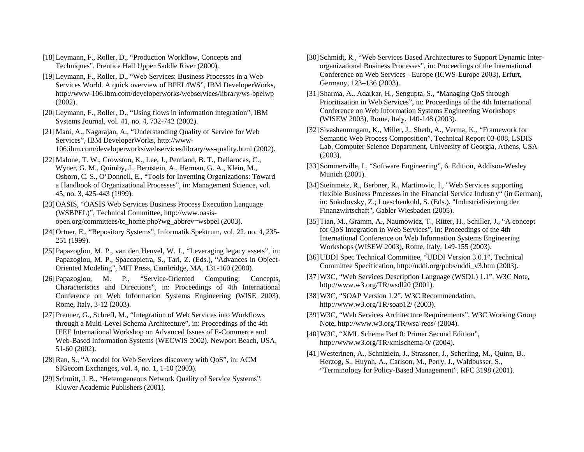- <span id="page-8-11"></span>[18]Leymann, F., Roller, D., "Production Workflow, Concepts and Techniques", Prentice Hall Upper Saddle River (2000).
- <span id="page-8-10"></span><span id="page-8-6"></span>[19]Leymann, F., Roller, D., "Web Services: Business Processes in a Web Services World. A quick overview of BPEL4WS", IBM DeveloperWorks, http://www-106.ibm.com/developerworks/webservices/library/ws-bpelwp (2002).
- <span id="page-8-1"></span>[20]Leymann, F., Roller, D., "Using flows in information integration", IBM Systems Journal, vol. 41, no. 4, 732-742 (2002).
- <span id="page-8-19"></span><span id="page-8-12"></span>[21]Mani, A., Nagarajan, A., "Understanding Quality of Service for Web Services", IBM DeveloperWorks, http://www-106.ibm.com/developerworks/webservices/library/ws-quality.html (2002).
- <span id="page-8-18"></span><span id="page-8-16"></span>[22]Malone, T. W., Crowston, K., Lee, J., Pentland, B. T., Dellarocas, C., Wyner, G. M., Quimby, J., Bernstein, A., Herman, G. A., Klein, M., Osborn, C. S., O'Donnell, E., "Tools for Inventing Organizations: Toward a Handbook of Organizational Processes", in: Management Science, vol. 45, no. 3, 425-443 (1999).
- <span id="page-8-21"></span><span id="page-8-8"></span>[23]OASIS, "OASIS Web Services Business Process Execution Language (WSBPEL)", Technical Committee, http://www.oasisopen.org/committees/tc\_home.php?wg\_abbrev=wsbpel (2003).
- <span id="page-8-17"></span><span id="page-8-7"></span>[24]Ortner, E., "Repository Systems", Informatik Spektrum, vol. 22, no. 4, 235- 251 (1999).
- <span id="page-8-4"></span><span id="page-8-0"></span>[25]Papazoglou, M. P., van den Heuvel, W. J., "Leveraging legacy assets", in: Papazoglou, M. P., Spaccapietra, S., Tari, Z. (Eds.), "Advances in Object-Oriented Modeling", MIT Press, Cambridge, MA, 131-160 (2000).
- <span id="page-8-15"></span><span id="page-8-3"></span><span id="page-8-2"></span>[26]Papazoglou, M. P., "Service-Oriented Computing: Concepts, Characteristics and Directions", in: Proceedings of 4th International Conference on Web Information Systems Engineering (WISE 2003), Rome, Italy, 3-12 (2003).
- <span id="page-8-20"></span><span id="page-8-9"></span>[27]Preuner, G., Schrefl, M., "Integration of Web Services into Workflows through a Multi-Level Schema Architecture", in: Proceedings of the 4th IEEE International Workshop on Advanced Issues of E-Commerce and Web-Based Information Systems (WECWIS 2002). Newport Beach, USA, 51-60 (2002).
- <span id="page-8-13"></span><span id="page-8-5"></span>[28]Ran, S., "A model for Web Services discovery with QoS", in: ACM SIGecom Exchanges, vol. 4, no. 1, 1-10 (2003).
- <span id="page-8-14"></span>[29] Schmitt, J. B., "Heterogeneous Network Quality of Service Systems", Kluwer Academic Publishers (2001).
- [30] Schmidt, R., "Web Services Based Architectures to Support Dynamic Interorganizational Business Processes", in: Proceedings of the International Conference on Web Services - Europe (ICWS-Europe 2003), Erfurt, Germany, 123–136 (2003).
- [31]Sharma, A., Adarkar, H., Sengupta, S., "Managing QoS through Prioritization in Web Services", in: Proceedings of the 4th International Conference on Web Information Systems Engineering Workshops (WISEW 2003), Rome, Italy, 140-148 (2003).
- [32]Sivashanmugam, K., Miller, J., Sheth, A., Verma, K., "Framework for Semantic Web Process Composition", Technical Report 03-008, LSDIS Lab, Computer Science Department, University of Georgia, Athens, USA (2003).
- [33]Sommerville, I., "Software Engineering", 6. Edition, Addison-Wesley Munich (2001).
- [34]Steinmetz, R., Berbner, R., Martinovic, I., "Web Services supporting flexible Business Processes in the Financial Service Industry" (in German), in: Sokolovsky, Z.; Loeschenkohl, S. (Eds.), "Industrialisierung der Finanzwirtschaft", Gabler Wiesbaden (2005).
- [35]Tian, M., Gramm, A., Naumowicz, T., Ritter, H., Schiller, J., "A concept for QoS Integration in Web Services", in: Proceedings of the 4th International Conference on Web Information Systems Engineering Workshops (WISEW 2003), Rome, Italy, 149-155 (2003).
- [36]UDDI Spec Technical Committee, "UDDI Version 3.0.1", Technical Committee Specification, http://uddi.org/pubs/uddi\_v3.htm (2003).
- [37]W3C, "Web Services Description Language (WSDL) 1.1", W3C Note, http://www.w3.org/TR/wsdl20 (2001).
- [38] W3C, "SOAP Version 1.2". W3C Recommendation, http://www.w3.org/TR/soap12/ (2003).
- [39]W3C, "Web Services Architecture Requirements", W3C Working Group Note, http://www.w3.org/TR/wsa-reqs/ (2004).
- [40]W3C, "XML Schema Part 0: Primer Second Edition", http://www.w3.org/TR/xmlschema-0/ (2004).
- [41]Westerinen, A., Schnizlein, J., Strassner, J., Scherling, M., Quinn, B., Herzog, S., Huynh, A., Carlson, M., Perry, J., Waldbusser, S., "Terminology for Policy-Based Management", RFC 3198 (2001).